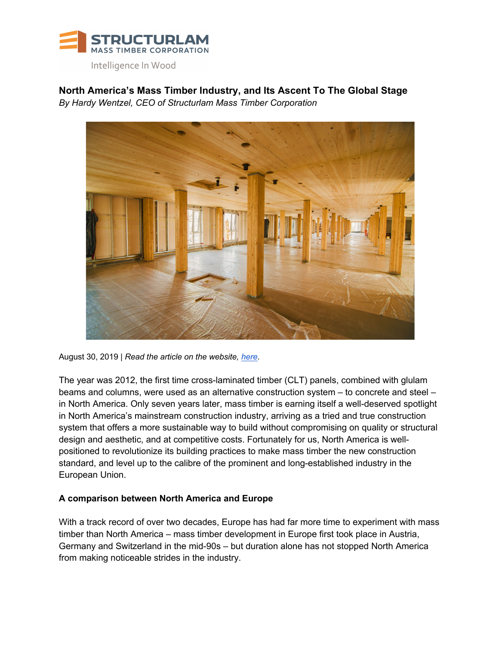

**North America's Mass Timber Industry, and Its Ascent To The Global Stage** *By Hardy Wentzel, CEO of Structurlam Mass Timber Corporation*



August 30, 2019 | *Read the article on the website, here*.

The year was 2012, the first time cross-laminated timber (CLT) panels, combined with glulam beams and columns, were used as an alternative construction system – to concrete and steel – in North America. Only seven years later, mass timber is earning itself a well-deserved spotlight in North America's mainstream construction industry, arriving as a tried and true construction system that offers a more sustainable way to build without compromising on quality or structural design and aesthetic, and at competitive costs. Fortunately for us, North America is wellpositioned to revolutionize its building practices to make mass timber the new construction standard, and level up to the calibre of the prominent and long-established industry in the European Union.

## **A comparison between North America and Europe**

With a track record of over two decades, Europe has had far more time to experiment with mass timber than North America – mass timber development in Europe first took place in Austria, Germany and Switzerland in the mid-90s – but duration alone has not stopped North America from making noticeable strides in the industry.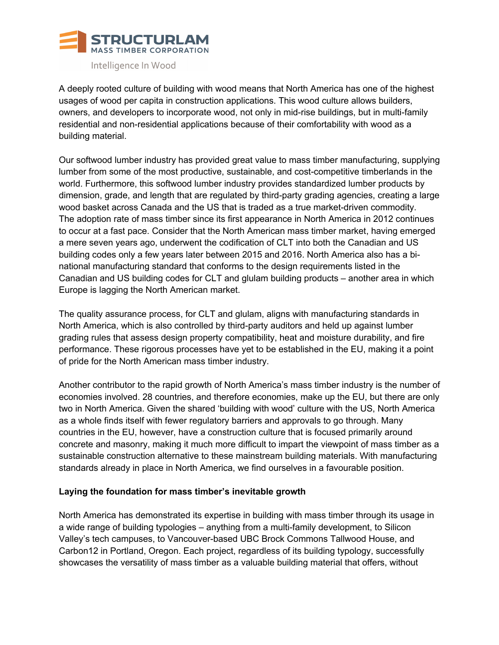

A deeply rooted culture of building with wood means that North America has one of the highest usages of wood per capita in construction applications. This wood culture allows builders, owners, and developers to incorporate wood, not only in mid-rise buildings, but in multi-family residential and non-residential applications because of their comfortability with wood as a building material.

Our softwood lumber industry has provided great value to mass timber manufacturing, supplying lumber from some of the most productive, sustainable, and cost-competitive timberlands in the world. Furthermore, this softwood lumber industry provides standardized lumber products by dimension, grade, and length that are regulated by third-party grading agencies, creating a large wood basket across Canada and the US that is traded as a true market-driven commodity. The adoption rate of mass timber since its first appearance in North America in 2012 continues to occur at a fast pace. Consider that the North American mass timber market, having emerged a mere seven years ago, underwent the codification of CLT into both the Canadian and US building codes only a few years later between 2015 and 2016. North America also has a binational manufacturing standard that conforms to the design requirements listed in the Canadian and US building codes for CLT and glulam building products – another area in which Europe is lagging the North American market.

The quality assurance process, for CLT and glulam, aligns with manufacturing standards in North America, which is also controlled by third-party auditors and held up against lumber grading rules that assess design property compatibility, heat and moisture durability, and fire performance. These rigorous processes have yet to be established in the EU, making it a point of pride for the North American mass timber industry.

Another contributor to the rapid growth of North America's mass timber industry is the number of economies involved. 28 countries, and therefore economies, make up the EU, but there are only two in North America. Given the shared 'building with wood' culture with the US, North America as a whole finds itself with fewer regulatory barriers and approvals to go through. Many countries in the EU, however, have a construction culture that is focused primarily around concrete and masonry, making it much more difficult to impart the viewpoint of mass timber as a sustainable construction alternative to these mainstream building materials. With manufacturing standards already in place in North America, we find ourselves in a favourable position.

## **Laying the foundation for mass timber's inevitable growth**

North America has demonstrated its expertise in building with mass timber through its usage in a wide range of building typologies – anything from a multi-family development, to Silicon Valley's tech campuses, to Vancouver-based UBC Brock Commons Tallwood House, and Carbon12 in Portland, Oregon. Each project, regardless of its building typology, successfully showcases the versatility of mass timber as a valuable building material that offers, without